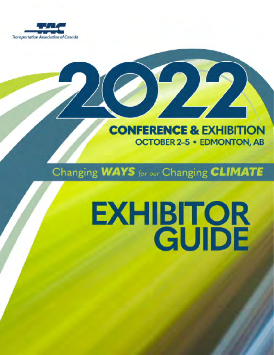

### **CONFERENCE & EXHIBITION OCTOBER 2-5 · EDMONTON, AB**

### Changing WAYS for our Changing CLIMATE

# **EXHIBITOR**<br>GUIDE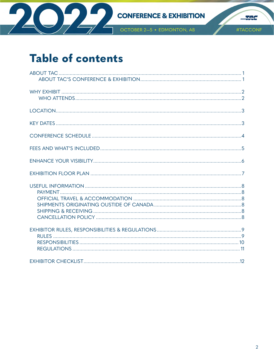

 $-$ 

### **Table of contents**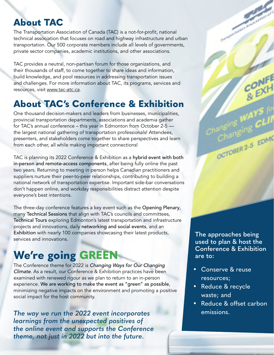### <span id="page-2-0"></span>**About TAC**

The Transportation Association of Canada (TAC) is a not-for-profit, national technical association that focuses on road and highway infrastructure and urban transportation. Our 500 corporate members include all levels of governments, private sector companies, academic institutions, and other associations.

TAC provides a neutral, non-partisan forum for those organizations, and their thousands of staff, to come together to share ideas and information, build knowledge, and pool resources in addressing transportation issues and challenges. For more information about TAC, its programs, services and resources, visit [www.tac-atc.ca](http://www.tac-atc.ca).

### **About TAC's Conference & Exhibition**

One thousand decision-makers and leaders from businesses, municipalities, provincial transportation departments, associations and academia gather for TAC's annual conference – this year in Edmonton from October 2-5 the largest national gathering of transportation professionals! Attendees, presenters, and stakeholders come together to share perspectives and learn from each other, all while making important connections!

TAC is planning its 2022 Conference & Exhibition as a hybrid event with both in-person and remote-access components, after being fully online the past two years. Returning to meeting in person helps Canadian practitioners and suppliers nurture their peer-to-peer relationships, contributing to building a national network of transportation expertise. Important side-bar conversations don't happen online, and workday responsibilities distract attention despite everyone's best intentions.

The three-day conference features a key event such as the Opening Plenary, many Technical Sessions that align with TAC's councils and committees, Technical Tours exploring Edmonton's latest transportation and infrastructure projects and innovations, daily networking and social events, and an Exhibition with nearly 100 companies showcasing their latest products, services and innovations.

### **We're going GREEN**

The Conference theme for 2022 is *Changing Ways for Our Changing Climate*. As a result, our Conference & Exhibition practices have been examined with renewed rigour as we plan to return to an in-person experience. We are working to make the event as "green" as possible, minimizing negative impacts on the environment and promoting a positive social impact for the host community.

*The way we run the 2022 event incorporates learnings from the unexpected positives of the online event and supports the Conference theme, not just in 2022 but into the future.* 

**The approaches being used to plan & host the Conference & Exhibition are to:** 

**Contract Contract Contract Contract Contract Contract Contract Contract Contract Contract Contract Contract Contract Contract Contract Contract Contract Contract Contract Contract Contract Contract Contract Contract Contr** 

Charles EDMC

- Conserve & reuse resources;
- Reduce & recycle waste; and
- Reduce & offset carbon emissions.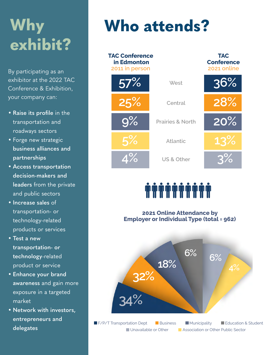# <span id="page-3-0"></span>**Why exhibit?**

By participating as an exhibitor at the 2022 TAC Conference & Exhibition, your company can:

- **• Raise its profile** in the transportation and roadways sectors
- Forge new strategic **business alliances and partnerships**
- **• Access transportation decision-makers and leaders** from the private and public sectors
- **• Increase sales** of transportation- or technology-related products or services
- **• Test a new transportation- or technology**-related product or service
- **• Enhance your brand awareness** and gain more exposure in a targeted market
- **• Network with investors, entrepreneurs and delegates**

# **Who attends?**

| <b>TAC Conference</b><br>in Edmonton<br>2011 in person |                             | <b>TAC</b><br><b>Conference</b><br>2021 online |
|--------------------------------------------------------|-----------------------------|------------------------------------------------|
| 57%                                                    | West                        | 36%                                            |
| 25%                                                    | Central                     | 28%                                            |
| $9\%$                                                  | <b>Prairies &amp; North</b> | 20%                                            |
| 5%                                                     | <b>Atlantic</b>             | 13%                                            |
| $\Lambda\%$                                            | US & Other                  | $3\%$                                          |

# **mmmmmmmm**

**2021 Online Attendance by Employer or Individual Type (total = 962)**

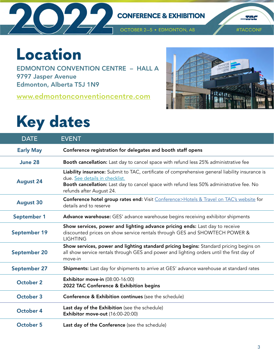<span id="page-4-0"></span>

The

# **Location**

EDMONTON CONVENTION CENTRE – HALL A 9797 Jasper Avenue Edmonton, Alberta T5J 1N9

**[www.edmontonconventioncentre.com](http://www.edmontonconventioncentre.com)**



# **Key dates**

| <b>DATE</b>      | <b>EVENT</b>                                                                                                                                                                                                                                              |
|------------------|-----------------------------------------------------------------------------------------------------------------------------------------------------------------------------------------------------------------------------------------------------------|
| <b>Early May</b> | Conference registration for delegates and booth staff opens                                                                                                                                                                                               |
| June 28          | Booth cancellation: Last day to cancel space with refund less 25% administrative fee                                                                                                                                                                      |
| <b>August 24</b> | Liability insurance: Submit to TAC, certificate of comprehensive general liability insurance is<br>due. See details in checklist.<br>Booth cancellation: Last day to cancel space with refund less 50% administrative fee. No<br>refunds after August 24. |
| <b>August 30</b> | Conference hotel group rates end: Visit Conference>Hotels & Travel on TAC's website for<br>details and to reserve                                                                                                                                         |
| September 1      | Advance warehouse: GES' advance warehouse begins receiving exhibitor shipments                                                                                                                                                                            |
| September 19     | Show services, power and lighting advance pricing ends: Last day to receive<br>discounted prices on show service rentals through GES and SHOWTECH POWER &<br><b>LIGHTING</b>                                                                              |
| September 20     | Show services, power and lighting standard pricing begins: Standard pricing begins on<br>all show service rentals through GES and power and lighting orders until the first day of<br>move-in                                                             |
| September 27     | Shipments: Last day for shipments to arrive at GES' advance warehouse at standard rates                                                                                                                                                                   |
| October 2        | <b>Exhibitor move-in (08:00-16:00)</b><br>2022 TAC Conference & Exhibition begins                                                                                                                                                                         |
| October 3        | Conference & Exhibition continues (see the schedule)                                                                                                                                                                                                      |
| October 4        | Last day of the Exhibition (see the schedule)<br>Exhibitor move-out (16:00-20:00)                                                                                                                                                                         |
| <b>October 5</b> | Last day of the Conference (see the schedule)                                                                                                                                                                                                             |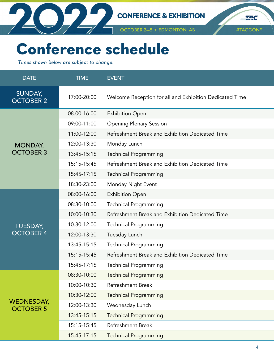<span id="page-5-0"></span>

OCTOBER 2-5 · EDMONTON, AB

#TACCONF

The

# **Conference schedule**

*Times shown below are subject to change.*

| <b>DATE</b>                    | <b>TIME</b> | <b>EVENT</b>                                            |
|--------------------------------|-------------|---------------------------------------------------------|
| SUNDAY,<br><b>OCTOBER 2</b>    | 17:00-20:00 | Welcome Reception for all and Exhibition Dedicated Time |
|                                | 08:00-16:00 | <b>Exhibition Open</b>                                  |
|                                | 09:00-11:00 | <b>Opening Plenary Session</b>                          |
|                                | 11:00-12:00 | Refreshment Break and Exhibition Dedicated Time         |
| <b>MONDAY,</b>                 | 12:00-13:30 | Monday Lunch                                            |
| <b>OCTOBER 3</b>               | 13:45-15:15 | <b>Technical Programming</b>                            |
|                                | 15:15-15:45 | Refreshment Break and Exhibition Dedicated Time         |
|                                | 15:45-17:15 | <b>Technical Programming</b>                            |
|                                | 18:30-23:00 | Monday Night Event                                      |
|                                | 08:00-16:00 | <b>Exhibition Open</b>                                  |
|                                | 08:30-10:00 | <b>Technical Programming</b>                            |
|                                | 10:00-10:30 | Refreshment Break and Exhibition Dedicated Time         |
| <b>TUESDAY,</b>                | 10:30-12:00 | Technical Programming                                   |
| <b>OCTOBER 4</b>               | 12:00-13:30 | Tuesday Lunch                                           |
|                                | 13:45-15:15 | <b>Technical Programming</b>                            |
|                                | 15:15-15:45 | Refreshment Break and Exhibition Dedicated Time         |
|                                | 15:45-17:15 | <b>Technical Programming</b>                            |
|                                | 08:30-10:00 | <b>Technical Programming</b>                            |
|                                | 10:00-10:30 | Refreshment Break                                       |
|                                | 10:30-12:00 | <b>Technical Programming</b>                            |
| WEDNESDAY,<br><b>OCTOBER 5</b> | 12:00-13:30 | Wednesday Lunch                                         |
|                                | 13:45-15:15 | <b>Technical Programming</b>                            |
|                                | 15:15-15:45 | Refreshment Break                                       |
|                                | 15:45-17:15 | <b>Technical Programming</b>                            |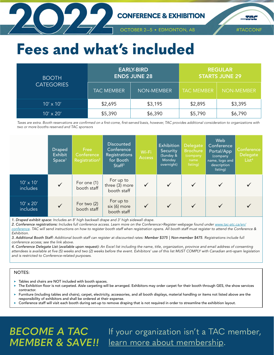<span id="page-6-0"></span>

#TACCONF

 $\mathcal{L}$ 

# **Fees and what's included**

| <b>BOOTH</b>      |                   | <b>EARLY-BIRD</b><br><b>ENDS JUNE 28</b> | <b>REGULAR</b><br>STARTS JUNE 29 |                   |  |
|-------------------|-------------------|------------------------------------------|----------------------------------|-------------------|--|
| <b>CATEGORIES</b> | <b>TAC MEMBER</b> | <b>NON-MEMBER</b>                        | <b>TAC MEMBER</b>                | <b>NON-MEMBER</b> |  |
| $10' \times 10'$  | \$2,695           | \$3,195                                  | \$2,895                          | \$3,395           |  |
| $10' \times 20'$  | \$5,390           | \$6,390                                  | \$5,790                          | \$6,790           |  |

*Taxes are extra. Booth reservations are confirmed on a first-come, first-served basis, however, TAC provides additional consideration to organizations with two or more booths reserved and TAC sponsors*

|                              | <b>Draped</b><br><b>Exhibit</b><br>Space <sup>1</sup> | Free<br>Conference<br>Registration <sup>2</sup> | <b>Discounted</b><br>Conference<br>Registrations<br>for Booth<br>Staff <sup>3</sup> | Wi-Fi<br><b>Access</b> | Exhibition<br>Security<br>(Sunday &<br>Monday<br>overnight) | <b>Delegate</b><br><b>Brochure</b><br>(company<br>name<br>listing) | Web<br>Conference<br>Portal/App<br>(company<br>name, logo and<br>description<br>listing) | Conference<br><b>Delegate</b><br>List <sup>4</sup> |
|------------------------------|-------------------------------------------------------|-------------------------------------------------|-------------------------------------------------------------------------------------|------------------------|-------------------------------------------------------------|--------------------------------------------------------------------|------------------------------------------------------------------------------------------|----------------------------------------------------|
| $10' \times 10'$<br>includes | $\checkmark$                                          | For one (1)<br>booth staff                      | For up to<br>three (3) more<br>booth staff                                          |                        | $\checkmark$                                                | $\checkmark$                                                       |                                                                                          |                                                    |
| $10' \times 20'$<br>includes | $\checkmark$                                          | For two $(2)$<br>booth staff                    | For up to<br>six (6) more<br>booth staff                                            |                        | $\checkmark$                                                | $\checkmark$                                                       |                                                                                          |                                                    |

*1. Draped exhibit space: Includes an 8' high backwall drape and 3' high sidewall drape.*

2. Conference registrations: *Includes full conference access. Learn more on the Conference>Register webpage found under [www.tac-atc.ca/en/](http://www.tac-atc.ca/en/conference) [conference](http://www.tac-atc.ca/en/conference). TAC will send instructions on how to register booth staff when registration opens. All booth staff must register to attend the Conference & Exhibition.*

*3. Additional Booth Staff: Additional booth staff can register at discounted rates: Member \$375 | Non-member \$475. Registrations include full conference access; see the link above.* 

*4. Conference Delegate List (available upon request): An Excel list including the name, title, organization, province and email address of consenting attendees is available at five (5) weeks and two (2) weeks before the event. Exhibitors' use of this list MUST COMPLY with Canadian anti-spam legislation and is restricted to Conference-related purposes.* 

#### NOTES:

- Tables and chairs are NOT included with booth spaces.
- The Exhibition floor is not carpeted. Aisle carpeting will be arranged. Exhibitors may order carpet for their booth through GES, the show services contractor.
- Furniture (including tables and chairs), carpet, electricity, accessories, and all booth displays, material handling or items not listed above are the responsibility of exhibitors and shall be ordered at their expense.
- " Conference staff will visit each booth during set-up to remove draping that is not required in order to streamline the exhibition layout.

### BECOME A TAC If your organization isn't a TAC member, **MEMBER & SAVE!!** [learn more about membership](https://www.tac-atc.ca/en/get-involved/join-tac).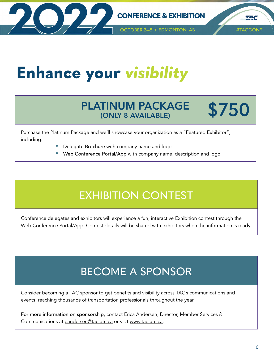<span id="page-7-0"></span>

**TAG** 

# **Enhance your** *visibility*

### PLATINUM PACKAGE (ONLY 8 AVAILABLE)

# **\$750**

Purchase the Platinum Package and we'll showcase your organization as a "Featured Exhibitor", including:

- Delegate Brochure with company name and logo
- Web Conference Portal/App with company name, description and logo

### EXHIBITION CONTEST

Conference delegates and exhibitors will experience a fun, interactive Exhibition contest through the Web Conference Portal/App. Contest details will be shared with exhibitors when the information is ready.

### BECOME A SPONSOR

Consider becoming a TAC sponsor to get benefits and visibility across TAC's communications and events, reaching thousands of transportation professionals throughout the year.

For more information on sponsorship, contact Erica Andersen, Director, Member Services & Communications at [eandersen@tac-atc.ca](mailto:eandersen%40tac-atc.ca?subject=) or visit [www.tac-atc.ca.](http://www.tac-atc.ca)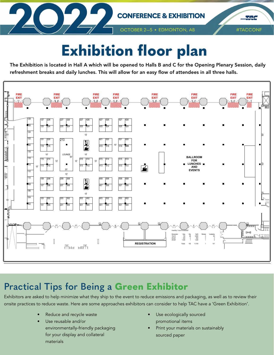

# **Exhibition floor plan**

The Exhibition is located in Hall A which will be opened to Halls B and C for the Opening Plenary Session, daily refreshment breaks and daily lunches. This will allow for an easy flow of attendees in all three halls.



### **Practical Tips for Being a Green Exhibitor**

Exhibitors are asked to help minimize what they ship to the event to reduce emissions and packaging, as well as to review their onsite practices to reduce waste. Here are some approaches exhibitors can consider to help TAC have a 'Green Exhibition'.

- Reduce and recycle waste
- Use reusable and/or environmentally-friendly packaging for your display and collateral materials
- Use ecologically sourced promotional items
- Print your materials on sustainably sourced paper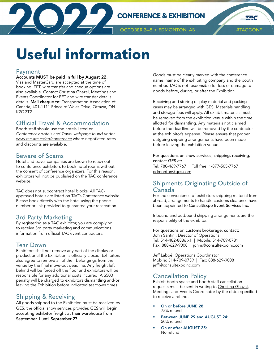<span id="page-9-0"></span>

#TACCONF

**TANG** 

# **Useful information**

#### Payment

#### Accounts MUST be paid in full by August 22.

Visa and MasterCard are accepted at the time of booking. EFT, wire transfer and cheque options are also available. Contact [Christina Ghazal](mailto:cghazal%40tac-atc.ca?subject=), Meetings and Events Coordinator for EFT and wire transfer details details. Mail cheque to: Transportation Association of Canada, 401-1111 Prince of Wales Drive, Ottawa, ON K2C 3T2

#### Official Travel & Accommodation

Booth staff should use the hotels listed on *Conference>Hotels and Travel webpage found under [www.tac-atc.ca/en/conference](http://www.tac-atc.ca/en/conference)* where negotiated rates and discounts are available.

#### Beware of Scams

Hotel and travel companies are known to reach out to conference exhibitors to book hotel rooms without the consent of conference organizers. For this reason, exhibitors will not be published on the TAC conference website.

TAC does not subcontract hotel blocks. All TACapproved hotels are listed on TAC's Conference website. Please book directly with the hotel using the phone number or link provided to guarantee your reservation.

#### 3rd Party Marketing

By registering as a TAC exhibitor, you are complying to receive 3rd party marketing and communications information from official TAC event contractors.

#### Tear Down

Exhibitors shall not remove any part of the display or product until the Exhibition is officially closed. Exhibitors also agree to remove all of their belongings from the venue by the final move-out deadline. Any freight left behind will be forced off the floor and exhibitors will be responsible for any additional costs incurred. A \$500 penalty will be charged to exhibitors dismantling and/or leaving the Exhibition before indicated teardown times.

#### Shipping & Receiving

All goods shipped to the Exhibition must be received by GES, the official show services provider. GES will begin accepting exhibitor freight at their warehouse from September 1 until September 27.

Goods must be clearly marked with the conference name, name of the exhibiting company and the booth number. TAC is not responsible for loss or damage to goods before, during, or after the Exhibition.

Receiving and storing display material and packing cases may be arranged with GES. Materials handling and storage fees will apply. All exhibit materials must be removed from the exhibition venue within the time allotted for dismantling. Any materials not claimed before the deadline will be removed by the contractor at the exhibitor's expense. Please ensure that proper outgoing shipping arrangements have been made before leaving the exhibition venue.

For questions on show services, shipping, receiving, contact GES at: Tel: 780-469-7767 | Toll free: 1-877-505-7767 [edmonton@ges.com](mailto:edmonton%40ges.com?subject=)

#### Shipments Originating Outside of Canada

For the convenience of exhibitors shipping material from abroad, arrangements to handle customs clearance have been appointed to ConsultExpo Event Services Inc.

Inbound and outbound shipping arrangements are the responsibility of the exhibitor.

For questions on customs brokerage, contact: John Santini, Director of Operations Tel: 514-482-8886 x1 | Mobile: 514-709-0781 Fax: 888-629-9008 | [johns@consultexpoinc.com](mailto:johns%40consultexpoinc.com?subject=)

Jeff Labbé, Operations Coordinator Mobile: 514-709-0739 | Fax: 888-629-9008 [jeffl@consultexpoinc.com](mailto:jeffl%40consultexpoinc.com%20?subject=)

#### Cancellation Policy

Exhibit booth space and booth staff cancellation requests must be sent in writing to [Christina Ghazal,](mailto:cghazal%40tac-atc.ca?subject=) Meetings and Events Coordinator by the dates specified to receive a refund.

- On or before JUNE 28: 75% refund
- Between JUNE 29 and AUGUST 24: 50% refund
- On or after AUGUST 25: No refund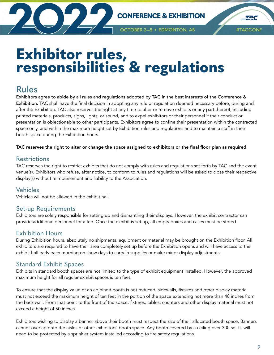<span id="page-10-0"></span>

**OCTOBER 2-5 · EDMONTON, AB** 

**TAC** 

## **Exhibitor rules, responsibilities & regulations**

### **Rules**

Exhibitors agree to abide by all rules and regulations adopted by TAC in the best interests of the Conference & Exhibition. TAC shall have the final decision in adopting any rule or regulation deemed necessary before, during and after the Exhibition. TAC also reserves the right at any time to alter or remove exhibits or any part thereof, including printed materials, products, signs, lights, or sound, and to expel exhibitors or their personnel if their conduct or presentation is objectionable to other participants. Exhibitors agree to confine their presentation within the contracted space only, and within the maximum height set by Exhibition rules and regulations and to maintain a staff in their booth space during the Exhibition hours.

#### TAC reserves the right to alter or change the space assigned to exhibitors or the final floor plan as required.

#### **Restrictions**

TAC reserves the right to restrict exhibits that do not comply with rules and regulations set forth by TAC and the event venue(s). Exhibitors who refuse, after notice, to conform to rules and regulations will be asked to close their respective display(s) without reimbursement and liability to the Association.

#### **Vehicles**

Vehicles will not be allowed in the exhibit hall.

#### Set-up Requirements

Exhibitors are solely responsible for setting up and dismantling their displays. However, the exhibit contractor can provide additional personnel for a fee. Once the exhibit is set up, all empty boxes and cases must be stored.

#### Exhibition Hours

During Exhibition hours, absolutely no shipments, equipment or material may be brought on the Exhibition floor. All exhibitors are required to have their area completely set up before the Exhibition opens and will have access to the exhibit hall early each morning on show days to carry in supplies or make minor display adjustments.

#### Standard Exhibit Spaces

Exhibits in standard booth spaces are not limited to the type of exhibit equipment installed. However, the approved maximum height for all regular exhibit spaces is ten feet.

To ensure that the display value of an adjoined booth is not reduced, sidewalls, fixtures and other display material must not exceed the maximum height of ten feet in the portion of the space extending not more than 48 inches from the back wall. From that point to the front of the space, fixtures, tables, counters and other display material must not exceed a height of 50 inches.

Exhibitors wishing to display a banner above their booth must respect the size of their allocated booth space. Banners cannot overlap onto the aisles or other exhibitors' booth space. Any booth covered by a ceiling over 300 sq. ft. will need to be protected by a sprinkler system installed according to fire safety regulations.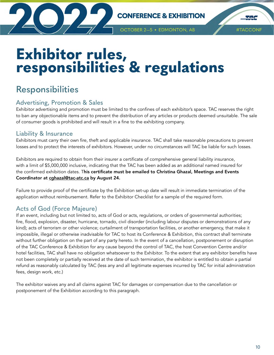<span id="page-11-0"></span>

**THE** 

OCTOBER 2-5 · EDMONTON, AB

# **Exhibitor rules, responsibilities & regulations**

### **Responsibilities**

#### Advertising, Promotion & Sales

Exhibitor advertising and promotion must be limited to the confines of each exhibitor's space. TAC reserves the right to ban any objectionable items and to prevent the distribution of any articles or products deemed unsuitable. The sale of consumer goods is prohibited and will result in a fine to the exhibiting company.

#### Liability & Insurance

Exhibitors must carry their own fire, theft and applicable insurance. TAC shall take reasonable precautions to prevent losses and to protect the interests of exhibitors. However, under no circumstances will TAC be liable for such losses.

Exhibitors are required to obtain from their insurer a certificate of comprehensive general liability insurance, with a limit of \$5,000,000 inclusive, indicating that the TAC has been added as an additional named insured for the confirmed exhibition dates. This certificate must be emailed to Christina Ghazal, Meetings and Events Coordinator at [cghazal@tac-atc.ca](mailto:cghazal%40tac-atc.ca?subject=) by August 24.

Failure to provide proof of the certificate by the Exhibition set-up date will result in immediate termination of the application without reimbursement. Refer to the Exhibitor Checklist for a sample of the required form.

#### Acts of God (Force Majeure)

If an event, including but not limited to, acts of God or acts, regulations, or orders of governmental authorities; fire, flood, explosion, disaster, hurricane, tornado, civil disorder (including labour disputes or demonstrations of any kind); acts of terrorism or other violence; curtailment of transportation facilities, or another emergency, that make it impossible, illegal or otherwise inadvisable for TAC to host its Conference & Exhibition, this contract shall terminate without further obligation on the part of any party hereto. In the event of a cancellation, postponement or disruption of the TAC Conference & Exhibition for any cause beyond the control of TAC, the host Convention Centre and/or hotel facilities, TAC shall have no obligation whatsoever to the Exhibitor. To the extent that any exhibitor benefits have not been completely or partially received at the date of such termination, the exhibitor is entitled to obtain a partial refund as reasonably calculated by TAC (less any and all legitimate expenses incurred by TAC for initial administration fees, design work, etc.)

The exhibitor waives any and all claims against TAC for damages or compensation due to the cancellation or postponement of the Exhibition according to this paragraph.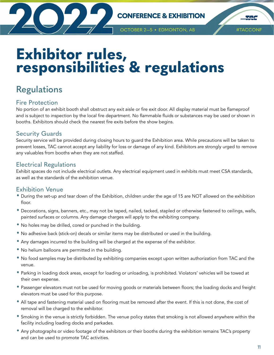<span id="page-12-0"></span>

**THE** 

#### **OCTOBER 2-5 · EDMONTON, AB**

# **Exhibitor rules, responsibilities & regulations**

### **Regulations**

#### Fire Protection

No portion of an exhibit booth shall obstruct any exit aisle or fire exit door. All display material must be flameproof and is subject to inspection by the local fire department. No flammable fluids or substances may be used or shown in booths. Exhibitors should check the nearest fire exits before the show begins.

#### Security Guards

Security service will be provided during closing hours to guard the Exhibition area. While precautions will be taken to prevent losses, TAC cannot accept any liability for loss or damage of any kind. Exhibitors are strongly urged to remove any valuables from booths when they are not staffed.

#### Electrical Regulations

Exhibit spaces do not include electrical outlets. Any electrical equipment used in exhibits must meet CSA standards, as well as the standards of the exhibition venue.

#### Exhibition Venue

- During the set-up and tear down of the Exhibition, children under the age of 15 are NOT allowed on the exhibition floor.
- Decorations, signs, banners, etc., may not be taped, nailed, tacked, stapled or otherwise fastened to ceilings, walls, painted surfaces or columns. Any damage charges will apply to the exhibiting company.
- No holes may be drilled, cored or punched in the building.
- No adhesive back (stick-on) decals or similar items may be distributed or used in the building.
- Any damages incurred to the building will be charged at the expense of the exhibitor.
- No helium balloons are permitted in the building.
- No food samples may be distributed by exhibiting companies except upon written authorization from TAC and the venue.
- Parking in loading dock areas, except for loading or unloading, is prohibited. Violators' vehicles will be towed at their own expense.
- Passenger elevators must not be used for moving goods or materials between floors; the loading docks and freight elevators must be used for this purpose.
- All tape and fastening material used on flooring must be removed after the event. If this is not done, the cost of removal will be charged to the exhibitor.
- Smoking in the venue is strictly forbidden. The venue policy states that smoking is not allowed anywhere within the facility including loading docks and parkades.
- Any photographs or video footage of the exhibitors or their booths during the exhibition remains TAC's property and can be used to promote TAC activities.